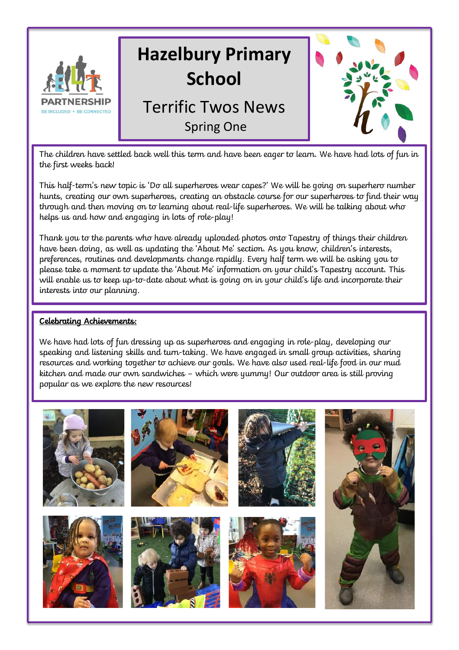

The children have settled back well this term and have been eager to learn. We have had lots of fun in the first weeks back!

This half-term's new topic is 'Do all superheroes wear capes?' We will be going on superhero number hunts, creating our own superheroes, creating an obstacle course for our superheroes to find their way through and then moving on to learning about real-life superheroes. We will be talking about who helps us and how and engaging in lots of role-play!

Thank you to the parents who have already uploaded photos onto Tapestry of things their children have been doing, as well as updating the 'About Me' section. As you know, children's interests, preferences, routines and developments change rapidly. Every half term we will be asking you to please take a moment to update the 'About Me' information on your child's Tapestry account. This will enable us to keep up-to-date about what is going on in your child's life and incorporate their interests into our planning.

#### Celebrating Achievements:

We have had lots of fun dressing up as superheroes and engaging in role-play, developing our speaking and listening skills and turn-taking. We have engaged in small group activities, sharing resources and working together to achieve our goals. We have also used real-life food in our mud kitchen and made our own sandwiches – which were yummy! Our outdoor area is still proving popular as we explore the new resources!